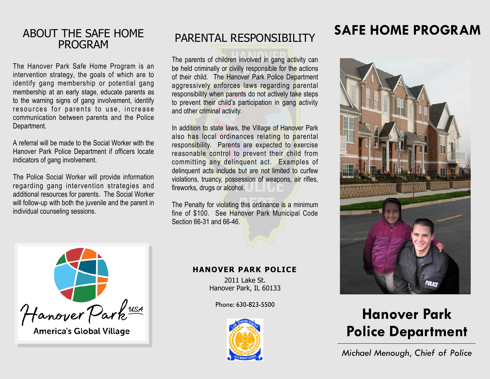## ABOUT THE SAFE HOME PROGRAM

The Hanover Park Safe Home Program is an intervention strategy, the goals of which are to identify gang membership or potential gang membership at an early stage, educate parents as to the warning signs of gang involvement, identify resources for parents to use, increase communication between parents and the Police Department.

A referral will be made to the Social Worker with the Hanover Park Police Department if officers locate indicators of gang involvement.

The Police Social Worker will provide information regarding gang intervention strategies and additional resources for parents. The Social Worker will follow-up with both the juvenile and the parent in individual counseling sessions.

# PARENTAL RESPONSIBILITY

The parents of children involved in gang activity can be held criminally or civilly responsible for the actions of their child. The Hanover Park Police Department aggressively enforces laws regarding parental responsibility when parents do not actively take steps to prevent their child's participation in gang activity and other criminal activity.

In addition to state laws, the Village of Hanover Park also has local ordinances relating to parental responsibility. Parents are expected to exercise reasonable control to prevent their child from committing any delinquent act. Examples of delinquent acts include but are not limited to curfew violations, truancy, possession of weapons, air rifles, fireworks, drugs or alcohol.

The Penalty for violating this ordinance is a minimum fine of \$100. See Hanover Park Municipal Code Section 66-31 and 66-46.



**America's Global Village** 

#### **HANOVER PARK POLICE**

2011 Lake St. Hanover Park, IL 60133

Phone: 630-823-5500



# **SAFE HOME PROGRAM**



# **Hanover Park Police Department**

*Michael Menough, Chief of Police*